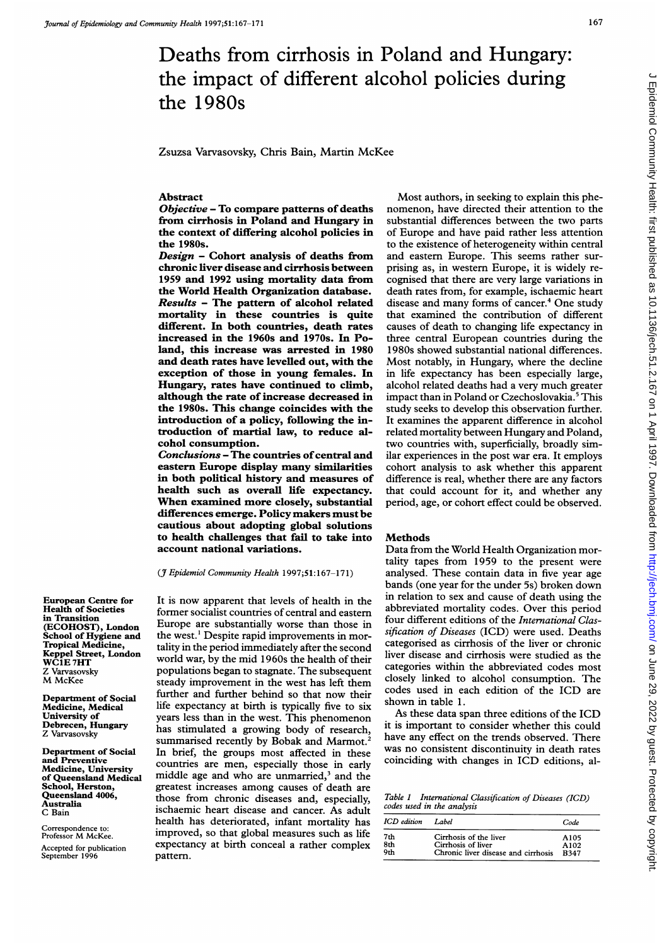# Deaths from cirrhosis in Poland and Hungary: the impact of different alcohol policies during the 1980s

Zsuzsa Varvasovsky, Chris Bain, Martin McKee

#### **Abstract**

Objective - To compare patterns of deaths from cirrhosis in Poland and Hungary in the context of differing alcohol policies in the 1980s.

Design - Cohort analysis of deaths from chronic liver disease and cirrhosis between 1959 and 1992 using mortality data from the World Health Organization database. Results - The pattern of alcohol related mortality in these countries is quite different. In both countries, death rates increased in the 1960s and 1970s. In Poland, this increase was arrested in 1980 and death rates have levelled out, with the exception of those in young females. In Hungary, rates have continued to climb, although the rate of increase decreased in the 1980s. This change coincides with the introduction of a policy, following the introduction of martial law, to reduce alcohol consumption.

Conclusions - The countries of central and eastern Europe display many similarities in both political history and measures of health such as overall life expectancy. When examined more closely, substantial differences emerge. Policy makers must be cautious about adopting global solutions to health challenges that fail to take into account national variations.

### (J7 Epidemiol Community Health 1997;51:167-171)

It is now apparent that levels of health in the former socialist countries of central and eastern Europe are substantially worse than those in the west.' Despite rapid improvements in mortality in the period immediately after the second world war, by the mid 1960s the health of their populations began to stagnate. The subsequent steady improvement in the west has left them further and further behind so that now their life expectancy at birth is typically five to six years less than in the west. This phenomenon has stimulated a growing body of research, summarised recently by Bobak and Marmot.<sup>2</sup> In brief, the groups most affected in these countries are men, especially those in early middle age and who are unmarried,<sup>3</sup> and the greatest increases among causes of death are those from chronic diseases and, especially, ischaemic heart disease and cancer. As adult health has deteriorated, infant mortality has improved, so that global measures such as life expectancy at birth conceal a rather complex pattern.

Most authors, in seeking to explain this phenomenon, have directed their attention to the substantial differences between the two parts of Europe and have paid rather less attention to the existence of heterogeneity within central and eastern Europe. This seems rather surprising as, in western Europe, it is widely recognised that there are very large variations in death rates from, for example, ischaemic heart disease and many forms of cancer.<sup>4</sup> One study that examined the contribution of different causes of death to changing life expectancy in three central European countries during the 1980s showed substantial national differences. Most notably, in Hungary, where the decline in life expectancy has been especially large, alcohol related deaths had <sup>a</sup> very much greater impact than in Poland or Czechoslovakia.<sup>5</sup> This study seeks to develop this observation further. It examines the apparent difference in alcohol related mortality between Hungary and Poland, two countries with, superficially, broadly similar experiences in the post war era. It employs cohort analysis to ask whether this apparent difference is real, whether there are any factors that could account for it, and whether any period, age, or cohort effect could be observed.

#### **Methods**

Data from the World Health Organization mortality tapes from 1959 to the present were analysed. These contain data in five year age bands (one year for the under 5s) broken down in relation to sex and cause of death using the abbreviated mortality codes. Over this period four different editions of the International Classification of Diseases (ICD) were used. Deaths categorised as cirrhosis of the liver or chronic liver disease and cirrhosis were studied as the categories within the abbreviated codes most closely linked to alcohol consumption. The codes used in each edition of the ICD are shown in table 1.

As these data span three editions of the ICD it is important to consider whether this could have any effect on the trends observed. There was no consistent discontinuity in death rates coinciding with changes in ICD editions, al-

Table <sup>I</sup> International Classification of Diseases (ICD) codes used in the analysis

| ICD edition | Label                               | Code        |
|-------------|-------------------------------------|-------------|
| 7th         | Cirrhosis of the liver              | A105        |
| 8th         | Cirrhosis of liver                  | A102        |
| 9th         | Chronic liver disease and cirrhosis | <b>R347</b> |

European Centre for Health of Societies in Transition (ECOHOST), London School of Hygiene and Tropical Medicine, Keppel Street, London WCIE 7HT Z Varvasovsky M McKee

Department of Social Medicine, Medical University of Debrecen, Hungary Z Varvasovsky

Department of Social and Preventive Medicine, University of Queensland Medical School, Herston, Queensland 4006, Australia C Bain

Correspondence to: Professor M McKee. Accepted for publication September 1996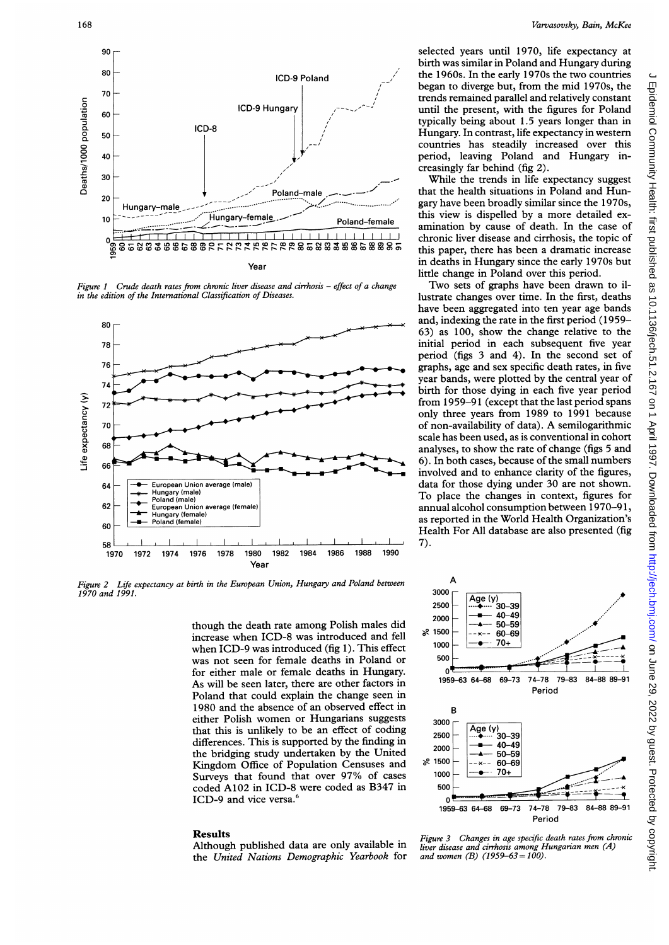

Figure 1 Crude death rates from chronic liver disease and cirrhosis - effect of a change in the edition of the International Classification of Diseases.



Figure 2 Life expectancy at birth in the European Union, Hungary and Poland between 1970 and 1991.

though the death rate among Polish males did increase when ICD-8 was introduced and fell when ICD-9 was introduced (fig 1). This effect was not seen for female deaths in Poland or for either male or female deaths in Hungary. As will be seen later, there are other factors in Poland that could explain the change seen in 1980 and the absence of an observed effect in either Polish women or Hungarians suggests that this is unlikely to be an effect of coding differences. This is supported by the finding in the bridging study undertaken by the United Kingdom Office of Population Censuses and Surveys that found that over 97% of cases coded A102 in ICD-8 were coded as B347 in ICD-9 and vice versa.<sup>6</sup>

#### **Results**

Although published data are only available in the United Nations Demographic Yearbook for selected years until 1970, life expectancy at birth was similar in Poland and Hungary during the 1960s. In the early 1970s the two countries began to diverge but, from the mid 1970s, the trends remained parallel and relatively constant until the present, with the figures for Poland typically being about 1.5 years longer than in Hungary. In contrast, life expectancy in western countries has steadily increased over this period, leaving Poland and Hungary increasingly far behind (fig 2).

While the trends in life expectancy suggest that the health situations in Poland and Hungary have been broadly similar since the 1970s, this view is dispelled by a more detailed examination by cause of death. In the case of chronic liver disease and cirrhosis, the topic of this paper, there has been a dramatic increase in deaths in Hungary since the early 1970s but little change in Poland over this period.

Two sets of graphs have been drawn to illustrate changes over time. In the first, deaths have been aggregated into ten year age bands and, indexing the rate in the first period (1959-63) as 100, show the change relative to the initial period in each subsequent five year period (figs 3 and 4). In the second set of graphs, age and sex specific death rates, in five year bands, were plotted by the central year of birth for those dying in each five year period from 1959-91 (except that the last period spans only three years from 1989 to 1991 because of non-availability of data). A semilogarithmic scale has been used, as is conventional in cohort analyses, to show the rate of change (figs 5 and 6). In both cases, because of the small numbers involved and to enhance clarity of the figures, data for those dying under 30 are not shown. To place the changes in context, figures for annual alcohol consumption between 1970-91, as reported in the World Health Organization's Health For All database are also presented (fig  $7).$ 



liver disease and cirrhosis among Hungarian men (A)

and women (B) (1959–63 = 100).

Epidemiol Community Health: first published as 10.1136/jech.51.2.167 on 1 April 1997. Downloaded from http://jech.bmj.com/ on June 29, 2022 by guest. Protected by copyright Figure 3 Changes in age specific death rates from chronic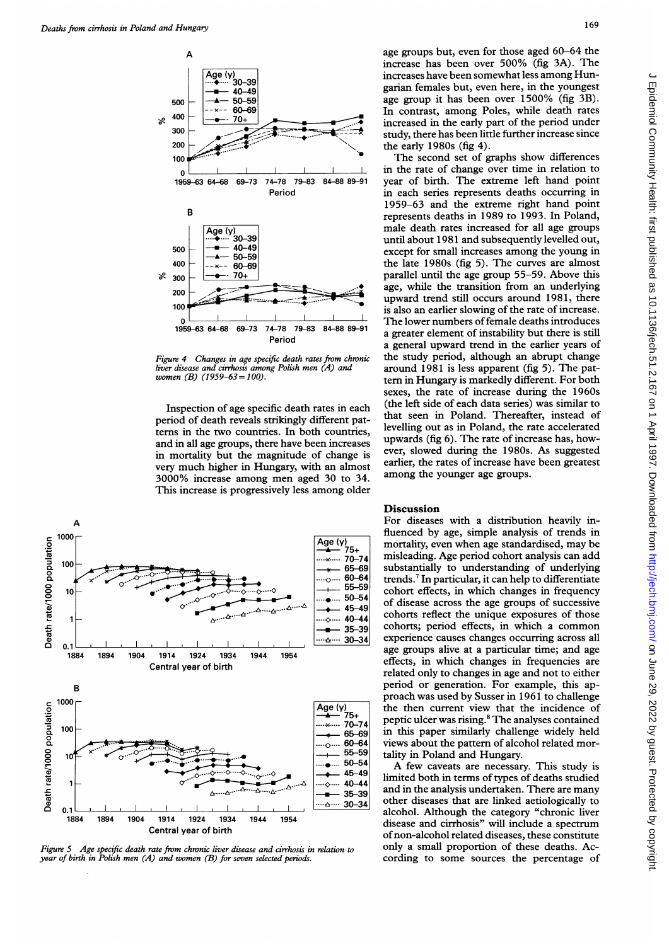

Figure 4 Changes in age specific death rates from chronic liver disease and cirrhosis among Polish men (A) and women (B)  $(1959-63=100)$ .

Inspection of age specific death rates in each period of death reveals strikingly different patterns in the two countries. In both countries, in mortality but the magnitude of change is 3000% increase among men aged 30 to 34. among the younger age groups. This increase is progressively less among older



Figure 5 Age specific death rate from chronic liver disease and cirrhosis in relation to year of birth in Polish men (A) and women (B) for seven selected periods.

age groups but, even for those aged 60-64 the increase has been over 500% (fig 3A). The increases have been somewhat less among Hungarian females but, even here, in the youngest age group it has been over 1500% (fig 3B). In contrast, among Poles, while death rates increased in the early part of the period under study, there has been little further increase since the early 1980s (fig 4).

and in all age groups, there have been increases upwards (iig 6). The rate of increase has, nowvery much higher in Hungary, with an almost earlier, the rates of increase have been greatest The second set of graphs show differences in the rate of change over time in relation to 74-78 79-83 84-88 89-91 year of birth. The extreme left hand point Period in each series represents deaths occurring in 1959-63 and the extreme right hand point represents deaths in 1989 to 1993. In Poland, male death rates increased for all age groups until about 1981 and subsequently levelled out, except for small increases among the young in the late 1980s (fig 5). The curves are almost<br>parallel until the age group 55–59. Above this parallel until the age group 55-59. Above this age, while the transition from an underlying age, upward trend still occurs around 1981, there is also an earlier slowing of the rate of increase. The lower numbers of female deaths introduces<br>a greater element of instability but there is still Period a greater element of instability but there is still<br>a general upward trend in the earlier years of the study period, although an abrupt change around 1981 is less apparent (fig 5). The pattern in Hungary is markedly different. For both sexes, the rate of increase during the 1960s<br>(the left side of each data series) was similar to -ific death rates in each (the left side of each data series) was similar to strikingly differentpat- that seen in Poland. Thereafter, instead of levelling out as in Poland, the rate accelerated<br>upwards (fig 6). The rate of increase has, however, slowed during the 1980s. As suggested earlier, the rates of increase have been greatest

## **Discussion**

For diseases with a distribution heavily influenced by age, simple analysis of trends in mortality, even when age standardised, may be misleading. Age period cohort analysis can add substantially to understanding of underlying trends.7 In particular, it can help to differentiate cohort effects, in which changes in frequency of disease across the age groups of successive cohorts reflect the unique exposures of those cohorts; period effects, in which <sup>a</sup> common experience causes changes occurring across all age groups alive at a particular time; and age effects, in which changes in frequencies are related only to changes in age and not to either period or generation. For example, this approach was used by Susser in 1961 to challenge the then current view that the incidence of peptic ulcer was rising.8 The analyses contained in this paper similarly challenge widely held views about the pattern of alcohol related mortality in Poland and Hungary.

A few caveats are necessary. This study is limited both in terms of types of deaths studied and in the analysis undertaken. There are many other diseases that are linked aetiologically to alcohol. Although the category "chronic liver disease and cirrhosis" will include a spectrum ofnon-alcohol related diseases, these constitute only a small proportion of these deaths. According to some sources the percentage of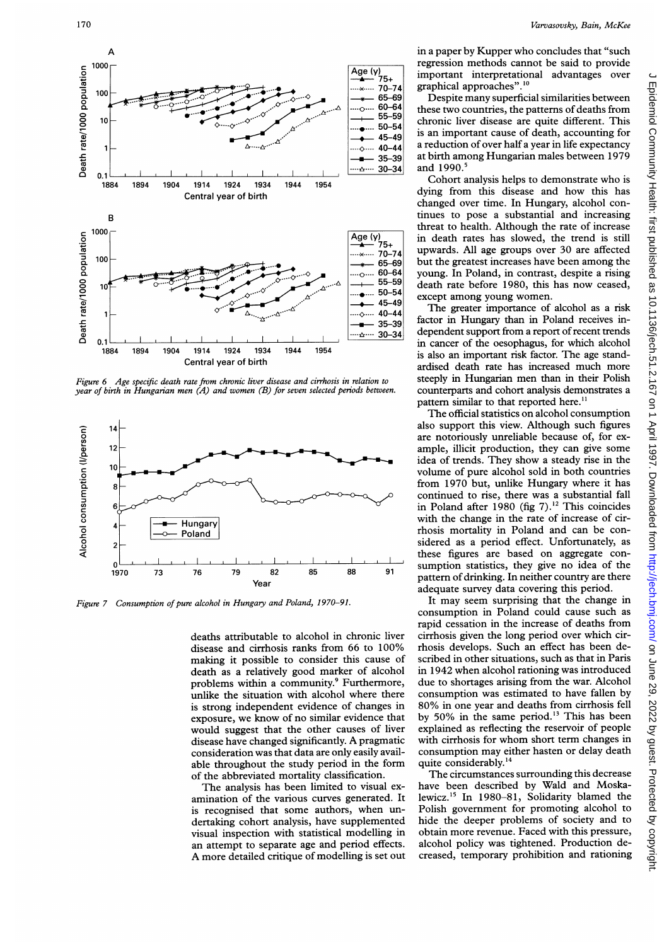

Figure 6 Age specific death rate from chronic liver disease and cirrhosis in relation to steeply in Hungarian men than in their Polish year of birth in Hungarian men (A) and women (B) for seven selected periods between. counterparts and cohort analysis demonstrates a



Figure 7 Consumption of pure alcohol in Hungary and Poland, 1970–91. It may seem surprising that the change in

disease and cirrhosis ranks from 66 to 100% rhosis develops. Such an effect has been de-<br>making it possible to consider this cause of scribed in other situations, such as that in Paris making it possible to consider this cause of death as a relatively good marker of alcohol in 1942 when alcohol rationing was introduced<br>problems within a community.<sup>9</sup> Furthermore, due to shortages arising from the war. Alcohol problems within a community.<sup>9</sup> Furthermore, due to shortages arising from the war. Alcohol<br>unlike the situation with alcohol where there consumption was estimated to have fallen by unlike the situation with alcohol where there consumption was estimated to have fallen by<br>is strong independent evidence of changes in 80% in one year and deaths from cirrhosis fell is strong independent evidence of changes in exposure, we know of no similar evidence that by 50% in the same period.<sup>13</sup> This has been<br>would suggest that the other causes of liver explained as reflecting the reservoir of people would suggest that the other causes of liver disease have changed significantly. A pragmatic with cirrhosis for whom short term changes in consideration was that data are only easily avail-<br>able throughout the study period in the form quite considerably.<sup>14</sup> able throughout the study period in the form quite considerably.<sup>14</sup>  $\frac{1}{4}$  of the abbreviated mortality classification. The circumstances surrounding this decrease

amination of the various curves generated. It lewicz.<sup>15</sup> In 1980–81, Solidarity blamed the is recognised that some authors, when un-<br>Polish government for promoting alcohol to is recognised that some authors, when un-<br>derived by derivating cohort analysis, have supplemented hide the deeper problems of society and to dertaking cohort analysis, have supplemented hide the deeper problems of society and to<br>visual inspection with statistical modelling in obtain more revenue. Faced with this pressure, visual inspection with statistical modelling in an attempt to separate age and period effects. alcohol policy was tightened. Production de-<br>A more detailed critique of modelling is set out creased, temporary prohibition and rationing A more detailed critique of modelling is set out

regression methods cannot be said to provide Age  $(y)$  regression incurves cannot advantages over<br>  $\frac{4}{(x-1)^{2}}$  important interpretational advantages over<br>  $\frac{10}{(x-1)^{2}}$  graphical approaches".<sup>10</sup>

 $65-69$  Despite many superficial similarities between<br> $60-64$  these two countries the patterns of deaths from  $\begin{array}{r}\n\text{...} \quad 60-64 \\
\text{...} \quad 55-59 \\
\text{...} \quad 50-54 \\
\text{...} \quad 45-49\n\end{array}$  is an important cause of death, accounting for  $\begin{array}{c|c} \leftarrow & 45-45 \ \hline \leftarrow & 40-44 \end{array}$  a reduction of over half a year in life expectancy  $35-39$  at birth among Hungarian males between 1979<br>30–34 and 1990.<sup>5</sup>

changed over time. In Hungary, alcohol con-<br>tinues to pose a substantial and increasing  $\overline{Age(y)}_{75+}$  in death rates has slowed, the trend is still  $\begin{bmatrix} 75^{+} \\ 70^{-74} \end{bmatrix}$  upwards. All age groups over 30 are affected  $\begin{array}{r} \text{...} & 60-64 \\ \text{...} & 55-59 \\ \text{...} & 50-54 \end{array}$  death rate before 1980, this has now ceased,  $^{50-54}_{45-49}$  except among young women.<br>45-49 The greater importance of alcohol as a risk

 $\begin{bmatrix} 1 & 30 & 34 \\ -\Delta & -34 & \end{bmatrix}$  dependent support from a report of recent trends in cancer of the oesophagus, for which alcohol pattern similar to that reported here.<sup>11</sup>

76. **Earnfuil alphonical specifies the model with the greater of containing for the great of alcohol as a risk 40-44 specifies the patterns of death, accounting for the specifies of alcohol as a risk 40-44 in a risportan** The official statistics on alcohol consumption are notoriously unreliable because of, for exvolume of pure alcohol sold in both countries from 1970 but, unlike Hungary where it has continued to rise, there was a substantial fall with the change in the rate of increase of cir-<br>thosis mortality in Poland and can be considered as a period effect. Unfortunately, as these figures are based on aggregate con-Year pattern of drinking. In neither country are dependent of the adequate survey data covering this period.

consumption in Poland could cause such as rapid cessation in the increase of deaths from deaths attributable to alcohol in chronic liver cirrhosis given the long period over which cir-<br>disease and cirrhosis ranks from 66 to 100% rhosis develops. Such an effect has been de-

of the abbreviated mortality classification. The circumstances surrounding this decrease<br>The analysis has been limited to visual ex-<br>have been described by Wald and Moska-The analysis has been limited to visual ex- have been described by Wald and Moska-<br>pination of the various curves generated. It lewicz.<sup>15</sup> In 1980–81, Solidarity blamed the